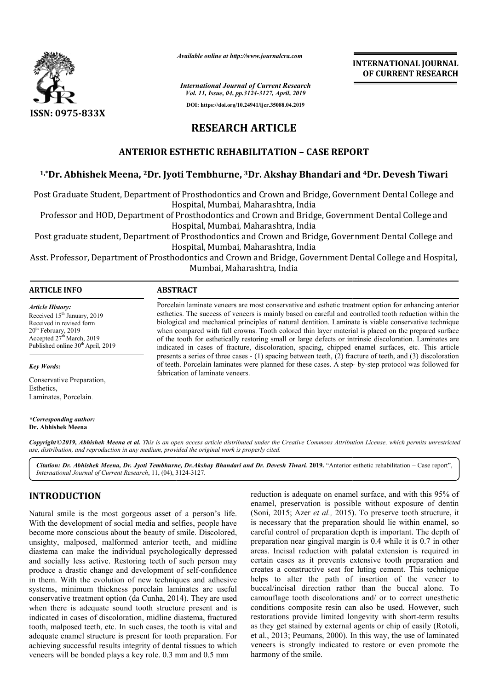

*Available online at http://www.journalcra.com*

**INTERNATIONAL JOURNAL OF CURRENT RESEARCH**

*International Journal of Current Research Vol. 11, Issue, 04, pp.3124-3127, April, 2019* **DOI: https://doi.org/10.24941/ijcr.35088.04.2019**

# **RESEARCH ARTICLE**

### **ANTERIOR ESTHETIC REHABILITATION – CASE REPORT**

# **1,\*Dr. Abhishek Meena, 2Dr. Jyoti Tembhurne, Dr. 3Dr. Akshay Bhandari and 4Dr. Devesh Tiwari**

Post Graduate Student, Department of Prosthodontics and Crown and Bridge, Government Dental College and Hospital, Mumbai, Maharashtra, India Post Graduate Student, Department of Prosthodontics and Crown and Bridge, Government Dental College and<br>Hospital, Mumbai, Maharashtra, India<br>Professor and HOD, Department of Prosthodontics and Crown and Bridge, Government

Professor and HOD, Department of Prosthodontics and Crown and Bridge, Government Dental College and Hospital, Mumbai, Maharashtra, India

Hospital, Mumbai, Maharashtra, India Post Graduate Student, Department of Prosthodontics and Crown and Bridge, Government Dental College and<br>Hospital, Mumbai, Maharashtra, India<br>Professor and HOD, Department of Prosthodontics and Crown and Bridge, Government

Mumbai, Maharashtra, India

| <b>ARTICLE INFO</b>                                                                                                                                                                                      | <b>ABSTRACT</b>                                                                                                                                                                                                                                                                                                                                                                                                                                                                                                                                                                                                                                  |
|----------------------------------------------------------------------------------------------------------------------------------------------------------------------------------------------------------|--------------------------------------------------------------------------------------------------------------------------------------------------------------------------------------------------------------------------------------------------------------------------------------------------------------------------------------------------------------------------------------------------------------------------------------------------------------------------------------------------------------------------------------------------------------------------------------------------------------------------------------------------|
| <b>Article History:</b><br>Received 15 <sup>th</sup> January, 2019<br>Received in revised form<br>$20th$ February, 2019<br>Accepted $27th March$ , 2019<br>Published online 30 <sup>th</sup> April, 2019 | Porcelain laminate veneers are most conservative and esthetic treatment option for enhancing anterior<br>esthetics. The success of veneers is mainly based on careful and controlled tooth reduction within the<br>biological and mechanical principles of natural dentition. Laminate is viable conservative technique<br>when compared with full crowns. Tooth colored thin layer material is placed on the prepared surface<br>of the tooth for esthetically restoring small or large defects or intrinsic discoloration. Laminates are<br>indicated in cases of fracture, discoloration, spacing, chipped enamel surfaces, etc. This article |
| <b>Kev Words:</b>                                                                                                                                                                                        | presents a series of three cases $- (1)$ spacing between teeth, (2) fracture of teeth, and (3) discoloration<br>of teeth. Porcelain laminates were planned for these cases. A step- by-step protocol was followed for                                                                                                                                                                                                                                                                                                                                                                                                                            |

fabrication of laminate veneers.

*Key Words:*

Conservative Preparation, Esthetics, Laminates, Porcelain.

*\*Corresponding author:* **Dr. Abhishek Meena**

Copyright©2019, Abhishek Meena et al. This is an open access article distributed under the Creative Commons Attribution License, which permits unrestrictea *use, distribution, and reproduction in any medium, provided the original work is properly cited.*

Citation: Dr. Abhishek Meena, Dr. Jyoti Tembhurne, Dr.Akshay Bhandari and Dr. Devesh Tiwari. 2019. "Anterior esthetic rehabilitation – Case report", *International Journal of Current Research*, 11, (04), 3124 3124-3127.

# **INTRODUCTION**

Natural smile is the most gorgeous asset of a person's life. With the development of social media and selfies, people have become more conscious about the beauty of smile. Discolored, unsighty, malposed, malformed anterior teeth, and midline diastema can make the individual psychologically depressed and socially less active. Restoring teeth of such person may produce a drastic change and development of self in them. With the evolution of new techniques and adhesive systems, minimum thickness porcelain laminates are useful systems, minimum thickness porcelain laminates are useful conservative treatment option (da Cunha, 2014). They are used when there is adequate sound tooth structure present and is indicated in cases of discoloration, midline diastema, fractured tooth, malposed teeth, etc. In such cases, the tooth is vital and adequate enamel structure is present for tooth preparation. For achieving successful results integrity of dental tissues to which veneers will be bonded plays a key role. 0.3 mm and 0.5 mm , malposed, malformed anterior teeth, and midline<br>i can make the individual psychologically depressed<br>ally less active. Restoring teeth of such person may<br>a drastic change and development of self-confidence

reduction is adequate on enamel surface,<br>enamel, preservation is possible without<br>adequate of a person's life. (Soni, 2015; Azer *et al.*, 2015). To prese<br>or destines, people have is necessary that the preparation should<br>y enamel, preservation is possible without exposure of dentin enamel, preservation is possible without exposure of dentin (Soni, 2015; Azer *et al.*, 2015). To preserve tooth structure, it is necessary that the preparation should lie within enamel, so careful control of preparation depth is important. The depth of preparation near gingival margin is 0.4 while it is 0.7 in other areas. Incisal reduction with palatal extension is required in certain cases as it prevents extensive tooth preparation and creates a constructive seat for luting cement. Th helps to alter the path of insertion of the veneer to buccal/incisal direction rather than the buccal alone. To camouflage tooth discolorations and/ or to correct unesthetic conditions composite resin can also be used. However, such restorations provide limited longevity with short as they get stained by external agents or chip of easily (Rotoli, et al., 2013; Peumans, 2000). In this way, the use of laminated veneers is strongly indicated to restore or even promote the harmony of the smile. reduction is adequate on enamel surface, and with this 95% of ation near gingival margin is 0.4 while it is 0.7 in other<br>Incisal reduction with palatal extension is required in<br>cases as it prevents extensive tooth preparation and<br>a constructive seat for luting cement. This technique alter the path of insertion of the veneer to<br>cisal direction rather than the buccal alone. To<br>ge tooth discolorations and/ or to correct unesthetic<br>s composite resin can also be used. However, such<br>ns provide limited longe the to restore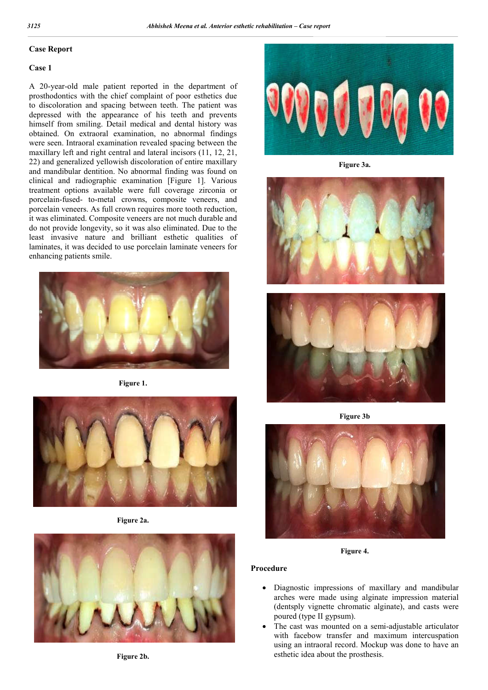#### **Case Report**

#### **Case 1**

A 20-year-old male patient reported in the department of prosthodontics with the chief complaint of poor esthetics due to discoloration and spacing between teeth. The patient was depressed with the appearance of his teeth and prevents himself from smiling. Detail medical and dental history was obtained. On extraoral examination, no abnormal findings were seen. Intraoral examination revealed spacing between the maxillary left and right central and lateral incisors (11, 12, 21, 22) and generalized yellowish discoloration of entire maxillary and mandibular dentition. No abnormal finding was found on clinical and radiographic examination [Figure 1]. Various treatment options available were full coverage zirconia or porcelain-fused- to-metal crowns, composite veneers, and porcelain veneers. As full crown requires more tooth reduction, it was eliminated. Composite veneers are not much durable and do not provide longevity, so it was also eliminated. Due to the least invasive nature and brilliant esthetic qualities of laminates, it was decided to use porcelain laminate veneers for enhancing patients smile.



**Figure 1.**



**Figure 2a.**







**Figure 3a.**





**Figure 3b**



**Figure 4.**

#### **Procedure**

- Diagnostic impressions of maxillary and mandibular arches were made using alginate impression material (dentsply vignette chromatic alginate), and casts were poured (type II gypsum).
- The cast was mounted on a semi-adjustable articulator with facebow transfer and maximum intercuspation using an intraoral record. Mockup was done to have an esthetic idea about the prosthesis.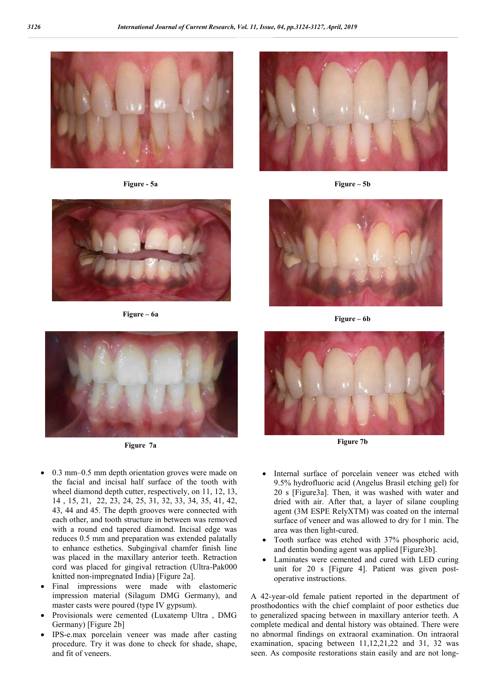

**Figure - 5a Figure – 5b**







- 0.3 mm–0.5 mm depth orientation groves were made on the facial and incisal half surface of the tooth with wheel diamond depth cutter, respectively, on 11, 12, 13, 14 , 15, 21, 22, 23, 24, 25, 31, 32, 33, 34, 35, 41, 42, 43, 44 and 45. The depth grooves were connected with each other, and tooth structure in between was removed with a round end tapered diamond. Incisal edge was reduces 0.5 mm and preparation was extended palatally to enhance esthetics. Subgingival chamfer finish line was placed in the maxillary anterior teeth. Retraction cord was placed for gingival retraction (Ultra-Pak000 knitted non-impregnated India) [Figure 2a].
- Final impressions were made with elastomeric impression material (Silagum DMG Germany), and master casts were poured (type IV gypsum).
- Provisionals were cemented (Luxatemp Ultra , DMG Germany) [Figure 2b]
- IPS-e.max porcelain veneer was made after casting procedure. Try it was done to check for shade, shape, and fit of veneers.



**Figure – 6a Figure – 6b**



- Internal surface of porcelain veneer was etched with 9.5% hydrofluoric acid (Angelus Brasil etching gel) for 20 s [Figure3a]. Then, it was washed with water and dried with air. After that, a layer of silane coupling agent (3M ESPE RelyXTM) was coated on the internal surface of veneer and was allowed to dry for 1 min. The area was then light-cured.
- Tooth surface was etched with 37% phosphoric acid, and dentin bonding agent was applied [Figure3b].
- Laminates were cemented and cured with LED curing unit for 20 s [Figure 4]. Patient was given postoperative instructions.

A 42-year-old female patient reported in the department of prosthodontics with the chief complaint of poor esthetics due to generalized spacing between in maxillary anterior teeth. A complete medical and dental history was obtained. There were no abnormal findings on extraoral examination. On intraoral examination, spacing between 11,12,21,22 and 31, 32 was seen. As composite restorations stain easily and are not long